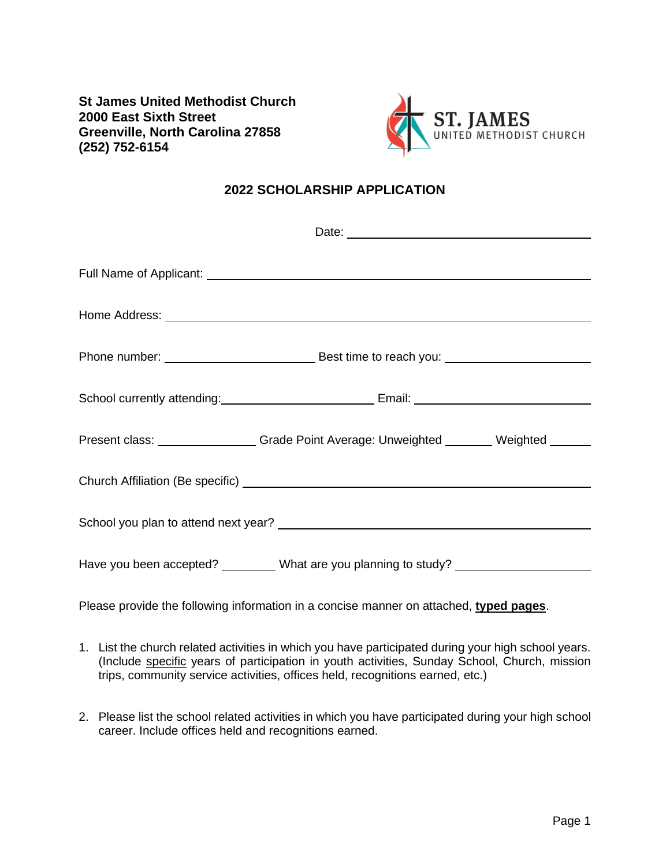**St James United Methodist Church 2000 East Sixth Street Greenville, North Carolina 27858 (252) 752-6154**



## **2022 SCHOLARSHIP APPLICATION**

|  | Home Address: North American Communication of the Address of the Address of the Address of the Address of the Address of the Address of the Address of the Address of the Address of the Address of the Address of the Address |
|--|--------------------------------------------------------------------------------------------------------------------------------------------------------------------------------------------------------------------------------|
|  |                                                                                                                                                                                                                                |
|  |                                                                                                                                                                                                                                |
|  | Present class: _________________Grade Point Average: Unweighted ________ Weighted ______                                                                                                                                       |
|  |                                                                                                                                                                                                                                |
|  |                                                                                                                                                                                                                                |
|  | Have you been accepted? ________ What are you planning to study? _______________                                                                                                                                               |

Please provide the following information in a concise manner on attached, **typed pages**.

- 1. List the church related activities in which you have participated during your high school years. (Include specific years of participation in youth activities, Sunday School, Church, mission trips, community service activities, offices held, recognitions earned, etc.)
- 2. Please list the school related activities in which you have participated during your high school career. Include offices held and recognitions earned.